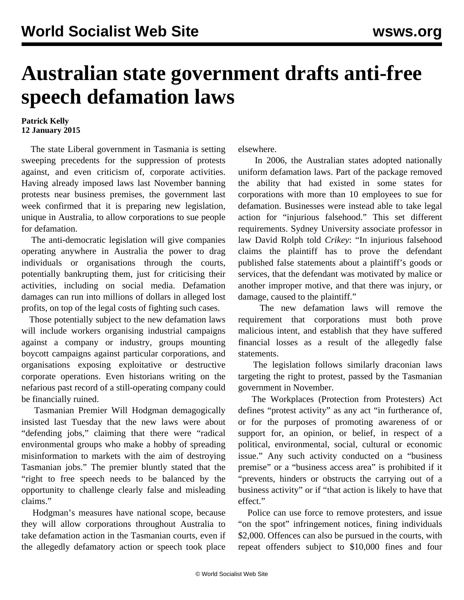## **Australian state government drafts anti-free speech defamation laws**

## **Patrick Kelly 12 January 2015**

 The state Liberal government in Tasmania is setting sweeping precedents for the suppression of protests against, and even criticism of, corporate activities. Having already imposed laws last November banning protests near business premises, the government last week confirmed that it is preparing new legislation, unique in Australia, to allow corporations to sue people for defamation.

 The anti-democratic legislation will give companies operating anywhere in Australia the power to drag individuals or organisations through the courts, potentially bankrupting them, just for criticising their activities, including on social media. Defamation damages can run into millions of dollars in alleged lost profits, on top of the legal costs of fighting such cases.

 Those potentially subject to the new defamation laws will include workers organising industrial campaigns against a company or industry, groups mounting boycott campaigns against particular corporations, and organisations exposing exploitative or destructive corporate operations. Even historians writing on the nefarious past record of a still-operating company could be financially ruined.

 Tasmanian Premier Will Hodgman demagogically insisted last Tuesday that the new laws were about "defending jobs," claiming that there were "radical environmental groups who make a hobby of spreading misinformation to markets with the aim of destroying Tasmanian jobs." The premier bluntly stated that the "right to free speech needs to be balanced by the opportunity to challenge clearly false and misleading claims."

 Hodgman's measures have national scope, because they will allow corporations throughout Australia to take defamation action in the Tasmanian courts, even if the allegedly defamatory action or speech took place elsewhere.

 In 2006, the Australian states adopted nationally uniform defamation laws. Part of the package removed the ability that had existed in some states for corporations with more than 10 employees to sue for defamation. Businesses were instead able to take legal action for "injurious falsehood." This set different requirements. Sydney University associate professor in law David Rolph told *Crikey*: "In injurious falsehood claims the plaintiff has to prove the defendant published false statements about a plaintiff's goods or services, that the defendant was motivated by malice or another improper motive, and that there was injury, or damage, caused to the plaintiff."

 The new defamation laws will remove the requirement that corporations must both prove malicious intent, and establish that they have suffered financial losses as a result of the allegedly false statements.

 The legislation follows similarly draconian laws targeting the right to protest, passed by the Tasmanian government in November.

 The Workplaces (Protection from Protesters) Act defines "protest activity" as any act "in furtherance of, or for the purposes of promoting awareness of or support for, an opinion, or belief, in respect of a political, environmental, social, cultural or economic issue." Any such activity conducted on a "business premise" or a "business access area" is prohibited if it "prevents, hinders or obstructs the carrying out of a business activity" or if "that action is likely to have that effect."

 Police can use force to remove protesters, and issue "on the spot" infringement notices, fining individuals \$2,000. Offences can also be pursued in the courts, with repeat offenders subject to \$10,000 fines and four